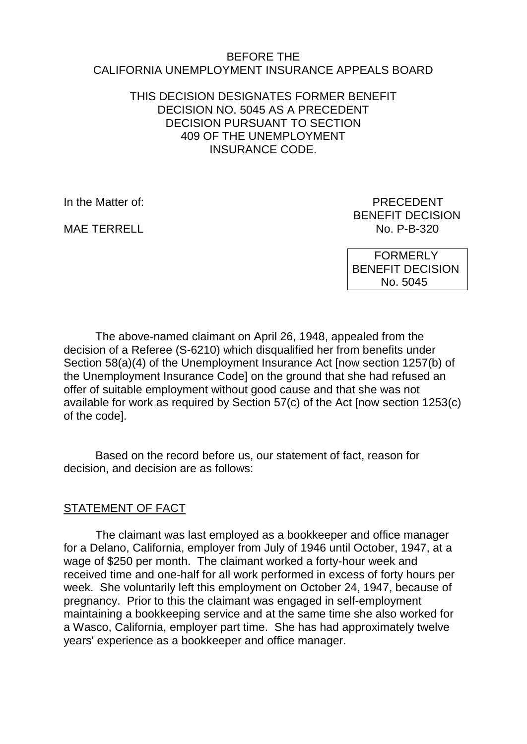#### BEFORE THE CALIFORNIA UNEMPLOYMENT INSURANCE APPEALS BOARD

### THIS DECISION DESIGNATES FORMER BENEFIT DECISION NO. 5045 AS A PRECEDENT DECISION PURSUANT TO SECTION 409 OF THE UNEMPLOYMENT INSURANCE CODE.

In the Matter of: **PRECEDENT** 

BENEFIT DECISION MAF TERRELL NO. P-B-320

> FORMERLY BENEFIT DECISION No. 5045

The above-named claimant on April 26, 1948, appealed from the decision of a Referee (S-6210) which disqualified her from benefits under Section 58(a)(4) of the Unemployment Insurance Act [now section 1257(b) of the Unemployment Insurance Code] on the ground that she had refused an offer of suitable employment without good cause and that she was not available for work as required by Section 57(c) of the Act [now section 1253(c) of the code].

Based on the record before us, our statement of fact, reason for decision, and decision are as follows:

# STATEMENT OF FACT

The claimant was last employed as a bookkeeper and office manager for a Delano, California, employer from July of 1946 until October, 1947, at a wage of \$250 per month. The claimant worked a forty-hour week and received time and one-half for all work performed in excess of forty hours per week. She voluntarily left this employment on October 24, 1947, because of pregnancy. Prior to this the claimant was engaged in self-employment maintaining a bookkeeping service and at the same time she also worked for a Wasco, California, employer part time. She has had approximately twelve years' experience as a bookkeeper and office manager.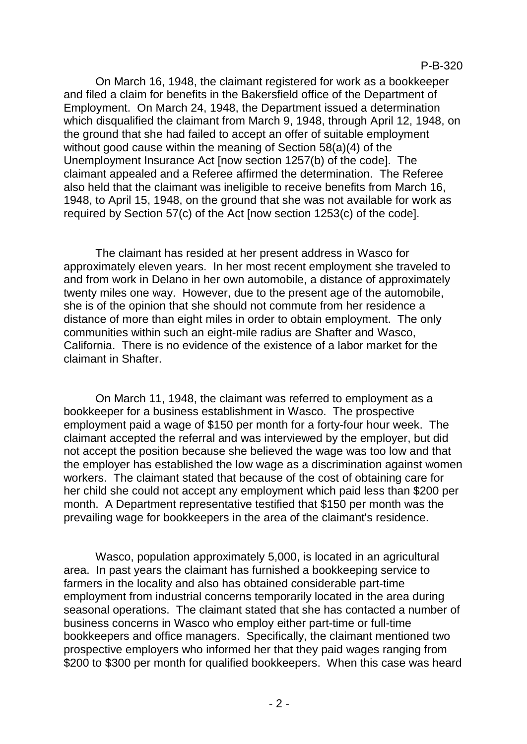On March 16, 1948, the claimant registered for work as a bookkeeper and filed a claim for benefits in the Bakersfield office of the Department of Employment. On March 24, 1948, the Department issued a determination which disqualified the claimant from March 9, 1948, through April 12, 1948, on the ground that she had failed to accept an offer of suitable employment without good cause within the meaning of Section 58(a)(4) of the Unemployment Insurance Act [now section 1257(b) of the code]. The claimant appealed and a Referee affirmed the determination. The Referee also held that the claimant was ineligible to receive benefits from March 16, 1948, to April 15, 1948, on the ground that she was not available for work as required by Section 57(c) of the Act [now section 1253(c) of the code].

The claimant has resided at her present address in Wasco for approximately eleven years. In her most recent employment she traveled to and from work in Delano in her own automobile, a distance of approximately twenty miles one way. However, due to the present age of the automobile, she is of the opinion that she should not commute from her residence a distance of more than eight miles in order to obtain employment. The only communities within such an eight-mile radius are Shafter and Wasco, California. There is no evidence of the existence of a labor market for the claimant in Shafter.

On March 11, 1948, the claimant was referred to employment as a bookkeeper for a business establishment in Wasco. The prospective employment paid a wage of \$150 per month for a forty-four hour week. The claimant accepted the referral and was interviewed by the employer, but did not accept the position because she believed the wage was too low and that the employer has established the low wage as a discrimination against women workers. The claimant stated that because of the cost of obtaining care for her child she could not accept any employment which paid less than \$200 per month. A Department representative testified that \$150 per month was the prevailing wage for bookkeepers in the area of the claimant's residence.

Wasco, population approximately 5,000, is located in an agricultural area. In past years the claimant has furnished a bookkeeping service to farmers in the locality and also has obtained considerable part-time employment from industrial concerns temporarily located in the area during seasonal operations. The claimant stated that she has contacted a number of business concerns in Wasco who employ either part-time or full-time bookkeepers and office managers. Specifically, the claimant mentioned two prospective employers who informed her that they paid wages ranging from \$200 to \$300 per month for qualified bookkeepers. When this case was heard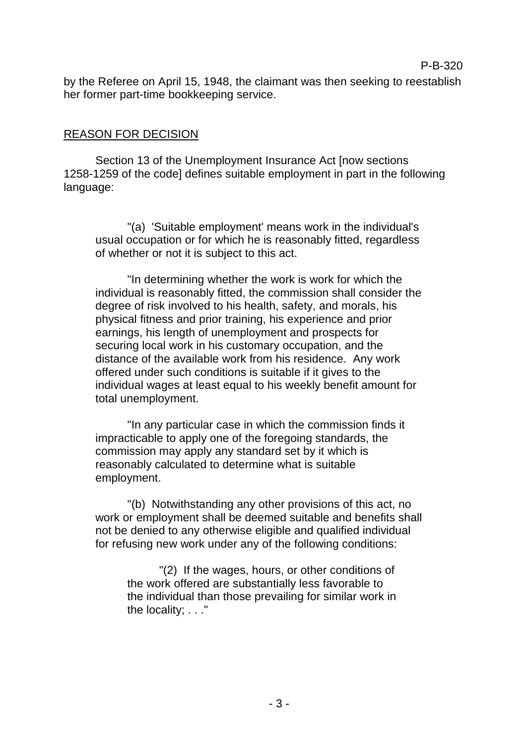by the Referee on April 15, 1948, the claimant was then seeking to reestablish her former part-time bookkeeping service.

P-B-320

### REASON FOR DECISION

Section 13 of the Unemployment Insurance Act [now sections 1258-1259 of the code] defines suitable employment in part in the following language:

"(a) 'Suitable employment' means work in the individual's usual occupation or for which he is reasonably fitted, regardless of whether or not it is subject to this act.

"In determining whether the work is work for which the individual is reasonably fitted, the commission shall consider the degree of risk involved to his health, safety, and morals, his physical fitness and prior training, his experience and prior earnings, his length of unemployment and prospects for securing local work in his customary occupation, and the distance of the available work from his residence. Any work offered under such conditions is suitable if it gives to the individual wages at least equal to his weekly benefit amount for total unemployment.

"In any particular case in which the commission finds it impracticable to apply one of the foregoing standards, the commission may apply any standard set by it which is reasonably calculated to determine what is suitable employment.

"(b) Notwithstanding any other provisions of this act, no work or employment shall be deemed suitable and benefits shall not be denied to any otherwise eligible and qualified individual for refusing new work under any of the following conditions:

"(2) If the wages, hours, or other conditions of the work offered are substantially less favorable to the individual than those prevailing for similar work in the locality; . . ."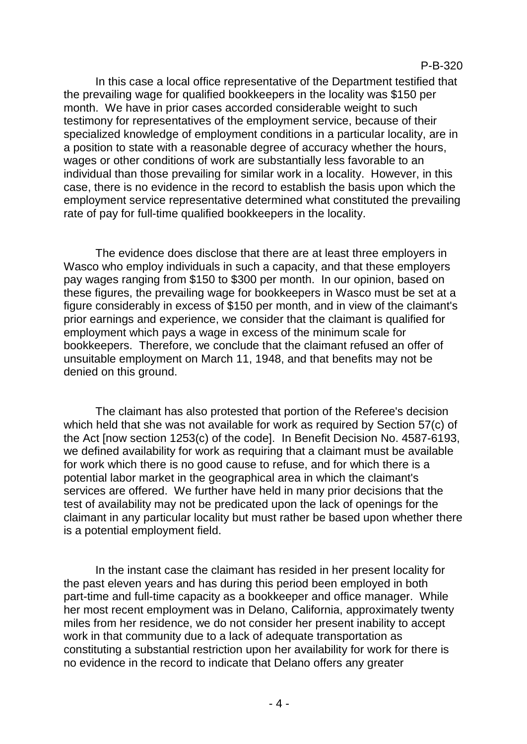In this case a local office representative of the Department testified that the prevailing wage for qualified bookkeepers in the locality was \$150 per month. We have in prior cases accorded considerable weight to such testimony for representatives of the employment service, because of their specialized knowledge of employment conditions in a particular locality, are in a position to state with a reasonable degree of accuracy whether the hours, wages or other conditions of work are substantially less favorable to an individual than those prevailing for similar work in a locality. However, in this case, there is no evidence in the record to establish the basis upon which the employment service representative determined what constituted the prevailing rate of pay for full-time qualified bookkeepers in the locality.

The evidence does disclose that there are at least three employers in Wasco who employ individuals in such a capacity, and that these employers pay wages ranging from \$150 to \$300 per month. In our opinion, based on these figures, the prevailing wage for bookkeepers in Wasco must be set at a figure considerably in excess of \$150 per month, and in view of the claimant's prior earnings and experience, we consider that the claimant is qualified for employment which pays a wage in excess of the minimum scale for bookkeepers. Therefore, we conclude that the claimant refused an offer of unsuitable employment on March 11, 1948, and that benefits may not be denied on this ground.

The claimant has also protested that portion of the Referee's decision which held that she was not available for work as required by Section 57(c) of the Act [now section 1253(c) of the code]. In Benefit Decision No. 4587-6193, we defined availability for work as requiring that a claimant must be available for work which there is no good cause to refuse, and for which there is a potential labor market in the geographical area in which the claimant's services are offered. We further have held in many prior decisions that the test of availability may not be predicated upon the lack of openings for the claimant in any particular locality but must rather be based upon whether there is a potential employment field.

In the instant case the claimant has resided in her present locality for the past eleven years and has during this period been employed in both part-time and full-time capacity as a bookkeeper and office manager. While her most recent employment was in Delano, California, approximately twenty miles from her residence, we do not consider her present inability to accept work in that community due to a lack of adequate transportation as constituting a substantial restriction upon her availability for work for there is no evidence in the record to indicate that Delano offers any greater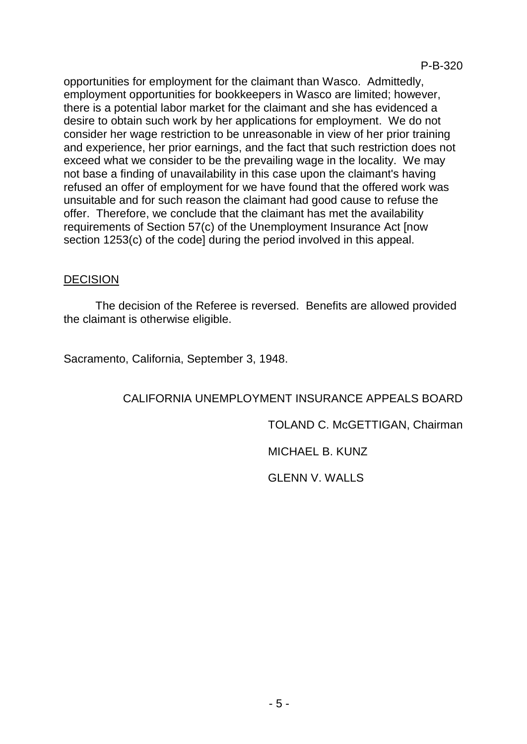opportunities for employment for the claimant than Wasco. Admittedly, employment opportunities for bookkeepers in Wasco are limited; however, there is a potential labor market for the claimant and she has evidenced a desire to obtain such work by her applications for employment. We do not consider her wage restriction to be unreasonable in view of her prior training and experience, her prior earnings, and the fact that such restriction does not exceed what we consider to be the prevailing wage in the locality. We may not base a finding of unavailability in this case upon the claimant's having refused an offer of employment for we have found that the offered work was unsuitable and for such reason the claimant had good cause to refuse the offer. Therefore, we conclude that the claimant has met the availability requirements of Section 57(c) of the Unemployment Insurance Act [now section 1253(c) of the code] during the period involved in this appeal.

### DECISION

The decision of the Referee is reversed. Benefits are allowed provided the claimant is otherwise eligible.

Sacramento, California, September 3, 1948.

### CALIFORNIA UNEMPLOYMENT INSURANCE APPEALS BOARD

### TOLAND C. McGETTIGAN, Chairman

### MICHAEL B. KUNZ

#### GLENN V. WALLS